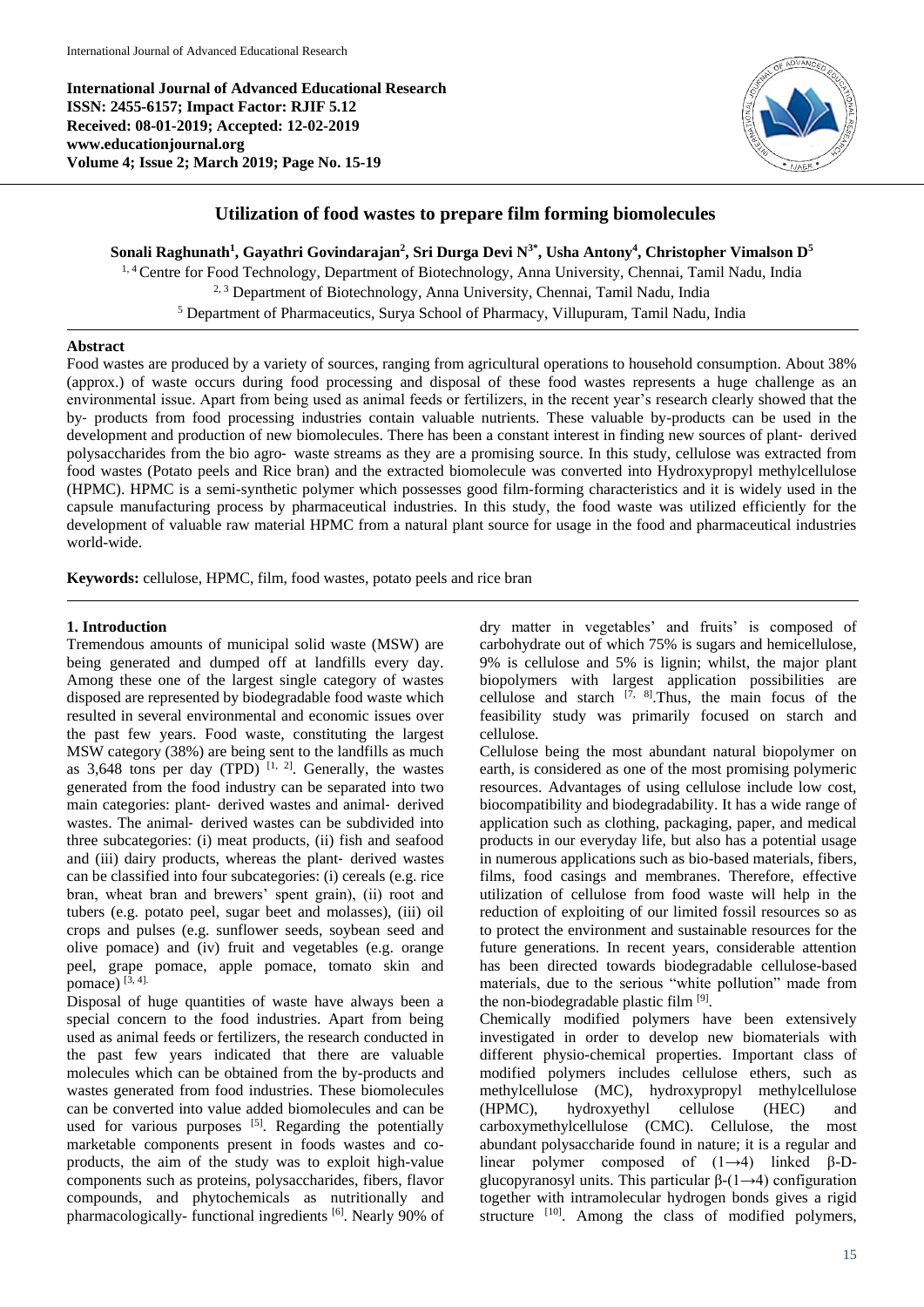**International Journal of Advanced Educational Research ISSN: 2455-6157; Impact Factor: RJIF 5.12 Received: 08-01-2019; Accepted: 12-02-2019 www.educationjournal.org Volume 4; Issue 2; March 2019; Page No. 15-19**



# **Utilization of food wastes to prepare film forming biomolecules**

**Sonali Raghunath<sup>1</sup> , Gayathri Govindarajan<sup>2</sup> , Sri Durga Devi N3\*, Usha Antony<sup>4</sup> , Christopher Vimalson D<sup>5</sup>**

1, 4Centre for Food Technology, Department of Biotechnology, Anna University, Chennai, Tamil Nadu*,* India 2, 3 Department of Biotechnology, Anna University, Chennai, Tamil Nadu*,* India <sup>5</sup> Department of Pharmaceutics, Surya School of Pharmacy, Villupuram, Tamil Nadu*,* India

## **Abstract**

Food wastes are produced by a variety of sources, ranging from agricultural operations to household consumption. About 38% (approx.) of waste occurs during food processing and disposal of these food wastes represents a huge challenge as an environmental issue. Apart from being used as animal feeds or fertilizers, in the recent year's research clearly showed that the by‐ products from food processing industries contain valuable nutrients. These valuable by-products can be used in the development and production of new biomolecules. There has been a constant interest in finding new sources of plant‐ derived polysaccharides from the bio agro‐ waste streams as they are a promising source. In this study, cellulose was extracted from food wastes (Potato peels and Rice bran) and the extracted biomolecule was converted into Hydroxypropyl methylcellulose (HPMC). HPMC is a semi-synthetic polymer which possesses good film-forming characteristics and it is widely used in the capsule manufacturing process by pharmaceutical industries. In this study, the food waste was utilized efficiently for the development of valuable raw material HPMC from a natural plant source for usage in the food and pharmaceutical industries world-wide.

**Keywords:** cellulose, HPMC, film, food wastes, potato peels and rice bran

### **1. Introduction**

Tremendous amounts of municipal solid waste (MSW) are being generated and dumped off at landfills every day. Among these one of the largest single category of wastes disposed are represented by biodegradable food waste which resulted in several environmental and economic issues over the past few years. Food waste, constituting the largest MSW category (38%) are being sent to the landfills as much as  $3,648$  tons per day (TPD)<sup>[1, 2]</sup>. Generally, the wastes generated from the food industry can be separated into two main categories: plant‐ derived wastes and animal‐ derived wastes. The animal- derived wastes can be subdivided into three subcategories: (i) meat products, (ii) fish and seafood and (iii) dairy products, whereas the plant‐ derived wastes can be classified into four subcategories: (i) cereals (e.g. rice bran, wheat bran and brewers' spent grain), (ii) root and tubers (e.g. potato peel, sugar beet and molasses), (iii) oil crops and pulses (e.g. sunflower seeds, soybean seed and olive pomace) and (iv) fruit and vegetables (e.g. orange peel, grape pomace, apple pomace, tomato skin and pomace)  $[3, 4]$ .

Disposal of huge quantities of waste have always been a special concern to the food industries. Apart from being used as animal feeds or fertilizers, the research conducted in the past few years indicated that there are valuable molecules which can be obtained from the by-products and wastes generated from food industries. These biomolecules can be converted into value added biomolecules and can be used for various purposes  $[5]$ . Regarding the potentially marketable components present in foods wastes and coproducts, the aim of the study was to exploit high-value components such as proteins, polysaccharides, fibers, flavor compounds, and phytochemicals as nutritionally and pharmacologically- functional ingredients [6]. Nearly 90% of

dry matter in vegetables' and fruits' is composed of carbohydrate out of which 75% is sugars and hemicellulose, 9% is cellulose and 5% is lignin; whilst, the major plant biopolymers with largest application possibilities are cellulose and starch  $[7, 8]$ . Thus, the main focus of the feasibility study was primarily focused on starch and cellulose.

Cellulose being the most abundant natural biopolymer on earth, is considered as one of the most promising polymeric resources. Advantages of using cellulose include low cost, biocompatibility and biodegradability. It has a wide range of application such as clothing, packaging, paper, and medical products in our everyday life, but also has a potential usage in numerous applications such as bio-based materials, fibers, films, food casings and membranes. Therefore, effective utilization of cellulose from food waste will help in the reduction of exploiting of our limited fossil resources so as to protect the environment and sustainable resources for the future generations. In recent years, considerable attention has been directed towards biodegradable cellulose-based materials, due to the serious "white pollution" made from the non-biodegradable plastic film [9].

Chemically modified polymers have been extensively investigated in order to develop new biomaterials with different physio-chemical properties. Important class of modified polymers includes cellulose ethers, such as methylcellulose (MC), hydroxypropyl methylcellulose (HPMC), hydroxyethyl cellulose (HEC) and carboxymethylcellulose (CMC). Cellulose, the most abundant polysaccharide found in nature; it is a regular and linear polymer composed of  $(1\rightarrow 4)$  linked β-Dglucopyranosyl units. This particular  $\beta$ -(1→4) configuration together with intramolecular hydrogen bonds gives a rigid structure [10]. Among the class of modified polymers,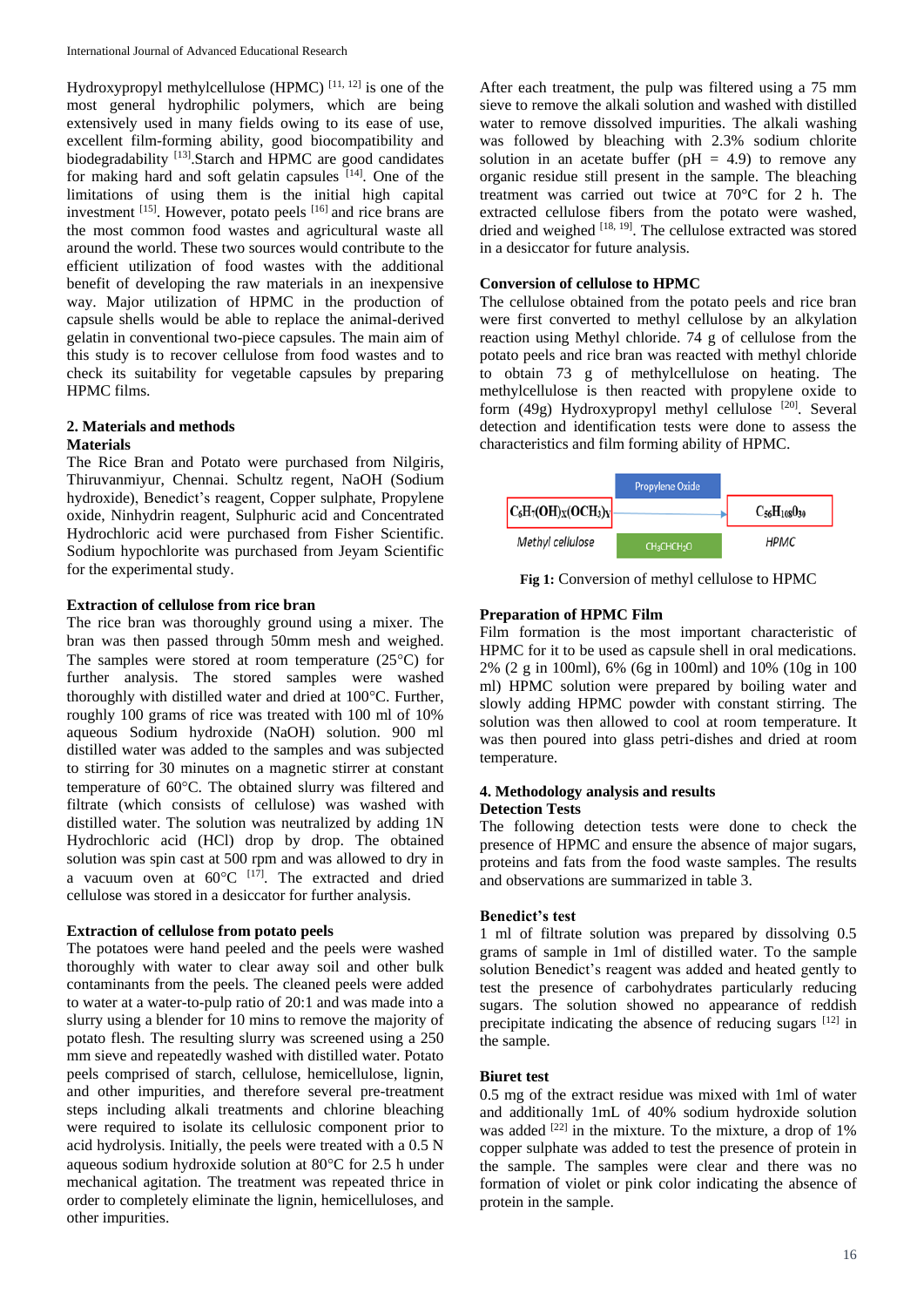Hydroxypropyl methylcellulose (HPMC)  $^{[11, 12]}$  is one of the most general hydrophilic polymers, which are being extensively used in many fields owing to its ease of use, excellent film-forming ability, good biocompatibility and biodegradability [13]. Starch and HPMC are good candidates for making hard and soft gelatin capsules [14]. One of the limitations of using them is the initial high capital investment [15]. However, potato peels [16] and rice brans are the most common food wastes and agricultural waste all around the world. These two sources would contribute to the efficient utilization of food wastes with the additional benefit of developing the raw materials in an inexpensive way. Major utilization of HPMC in the production of capsule shells would be able to replace the animal-derived gelatin in conventional two-piece capsules. The main aim of this study is to recover cellulose from food wastes and to check its suitability for vegetable capsules by preparing HPMC films.

## **2. Materials and methods Materials**

The Rice Bran and Potato were purchased from Nilgiris, Thiruvanmiyur, Chennai. Schultz regent, NaOH (Sodium hydroxide), Benedict's reagent, Copper sulphate, Propylene oxide, Ninhydrin reagent, Sulphuric acid and Concentrated Hydrochloric acid were purchased from Fisher Scientific. Sodium hypochlorite was purchased from Jeyam Scientific for the experimental study.

## **Extraction of cellulose from rice bran**

The rice bran was thoroughly ground using a mixer. The bran was then passed through 50mm mesh and weighed. The samples were stored at room temperature  $(25^{\circ}C)$  for further analysis. The stored samples were washed thoroughly with distilled water and dried at  $100^{\circ}$ C. Further, roughly 100 grams of rice was treated with 100 ml of 10% aqueous Sodium hydroxide (NaOH) solution. 900 ml distilled water was added to the samples and was subjected to stirring for 30 minutes on a magnetic stirrer at constant temperature of 60°C. The obtained slurry was filtered and filtrate (which consists of cellulose) was washed with distilled water. The solution was neutralized by adding 1N Hydrochloric acid (HCl) drop by drop. The obtained solution was spin cast at 500 rpm and was allowed to dry in a vacuum oven at  $60^{\circ}$ C <sup>[17]</sup>. The extracted and dried cellulose was stored in a desiccator for further analysis.

### **Extraction of cellulose from potato peels**

The potatoes were hand peeled and the peels were washed thoroughly with water to clear away soil and other bulk contaminants from the peels. The cleaned peels were added to water at a water-to-pulp ratio of 20:1 and was made into a slurry using a blender for 10 mins to remove the majority of potato flesh. The resulting slurry was screened using a 250 mm sieve and repeatedly washed with distilled water. Potato peels comprised of starch, cellulose, hemicellulose, lignin, and other impurities, and therefore several pre-treatment steps including alkali treatments and chlorine bleaching were required to isolate its cellulosic component prior to acid hydrolysis. Initially, the peels were treated with a 0.5 N aqueous sodium hydroxide solution at  $80^{\circ}$ C for 2.5 h under mechanical agitation. The treatment was repeated thrice in order to completely eliminate the lignin, hemicelluloses, and other impurities.

After each treatment, the pulp was filtered using a 75 mm sieve to remove the alkali solution and washed with distilled water to remove dissolved impurities. The alkali washing was followed by bleaching with 2.3% sodium chlorite solution in an acetate buffer ( $pH = 4.9$ ) to remove any organic residue still present in the sample. The bleaching treatment was carried out twice at 70°C for 2 h. The extracted cellulose fibers from the potato were washed, dried and weighed  $^{[18, 19]}$ . The cellulose extracted was stored in a desiccator for future analysis.

# **Conversion of cellulose to HPMC**

The cellulose obtained from the potato peels and rice bran were first converted to methyl cellulose by an alkylation reaction using Methyl chloride. 74 g of cellulose from the potato peels and rice bran was reacted with methyl chloride to obtain 73 g of methylcellulose on heating. The methylcellulose is then reacted with propylene oxide to form  $(49g)$  Hydroxypropyl methyl cellulose  $[20]$ . Several detection and identification tests were done to assess the characteristics and film forming ability of HPMC.



**Fig 1:** Conversion of methyl cellulose to HPMC

## **Preparation of HPMC Film**

Film formation is the most important characteristic of HPMC for it to be used as capsule shell in oral medications. 2% (2 g in 100ml), 6% (6g in 100ml) and 10% (10g in 100 ml) HPMC solution were prepared by boiling water and slowly adding HPMC powder with constant stirring. The solution was then allowed to cool at room temperature. It was then poured into glass petri-dishes and dried at room temperature.

### **4. Methodology analysis and results Detection Tests**

The following detection tests were done to check the presence of HPMC and ensure the absence of major sugars, proteins and fats from the food waste samples. The results and observations are summarized in table 3.

# **Benedict's test**

1 ml of filtrate solution was prepared by dissolving 0.5 grams of sample in 1ml of distilled water. To the sample solution Benedict's reagent was added and heated gently to test the presence of carbohydrates particularly reducing sugars. The solution showed no appearance of reddish precipitate indicating the absence of reducing sugars  $[12]$  in the sample.

## **Biuret test**

0.5 mg of the extract residue was mixed with 1ml of water and additionally 1mL of 40% sodium hydroxide solution was added  $[22]$  in the mixture. To the mixture, a drop of 1% copper sulphate was added to test the presence of protein in the sample. The samples were clear and there was no formation of violet or pink color indicating the absence of protein in the sample.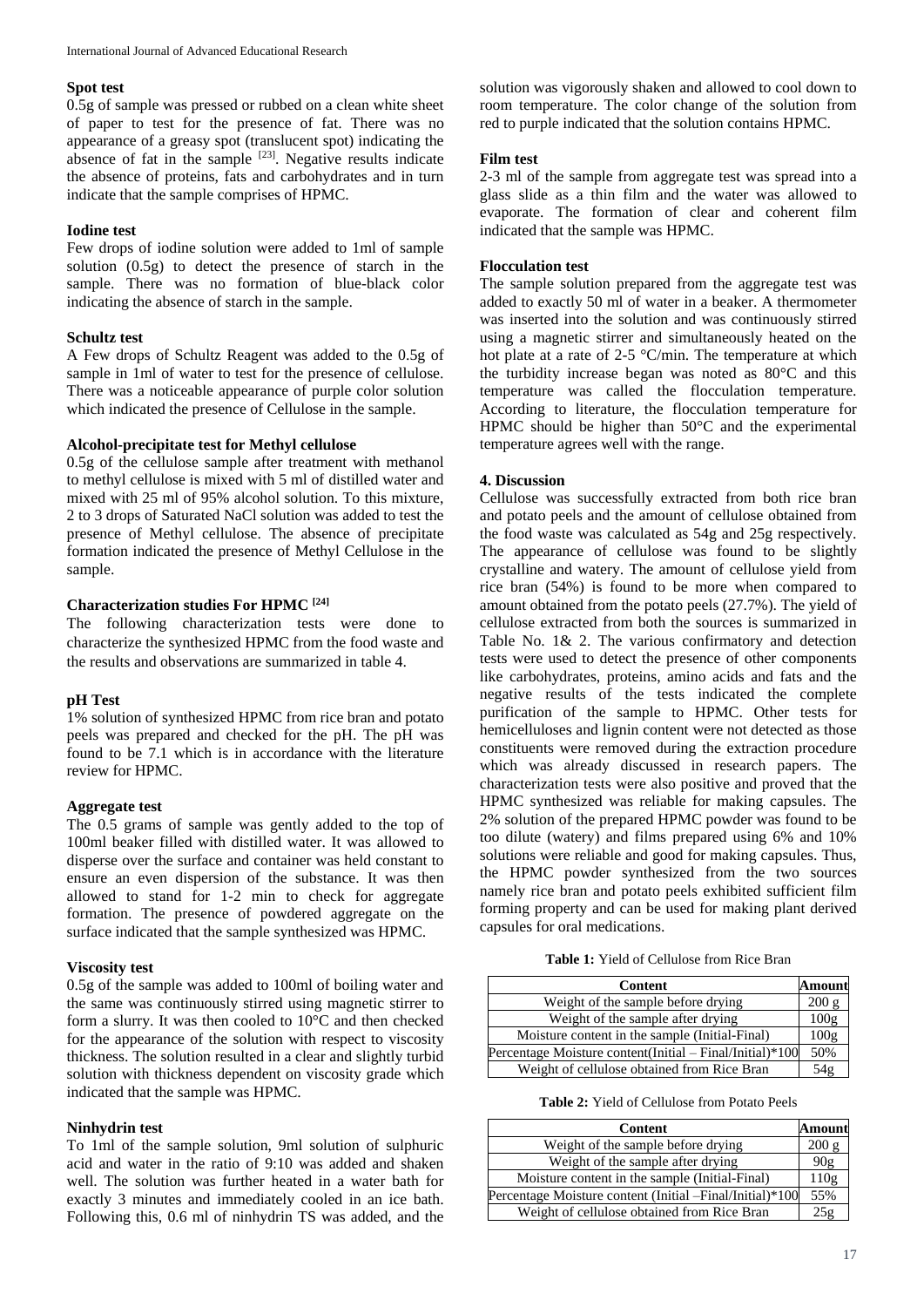#### **Spot test**

0.5g of sample was pressed or rubbed on a clean white sheet of paper to test for the presence of fat. There was no appearance of a greasy spot (translucent spot) indicating the absence of fat in the sample <sup>[23]</sup>. Negative results indicate the absence of proteins, fats and carbohydrates and in turn indicate that the sample comprises of HPMC.

### **Iodine test**

Few drops of iodine solution were added to 1ml of sample solution (0.5g) to detect the presence of starch in the sample. There was no formation of blue-black color indicating the absence of starch in the sample.

# **Schultz test**

A Few drops of Schultz Reagent was added to the 0.5g of sample in 1ml of water to test for the presence of cellulose. There was a noticeable appearance of purple color solution which indicated the presence of Cellulose in the sample.

## **Alcohol-precipitate test for Methyl cellulose**

0.5g of the cellulose sample after treatment with methanol to methyl cellulose is mixed with 5 ml of distilled water and mixed with 25 ml of 95% alcohol solution. To this mixture, 2 to 3 drops of Saturated NaCl solution was added to test the presence of Methyl cellulose. The absence of precipitate formation indicated the presence of Methyl Cellulose in the sample.

### **Characterization studies For HPMC [24]**

The following characterization tests were done to characterize the synthesized HPMC from the food waste and the results and observations are summarized in table 4.

### **pH Test**

1% solution of synthesized HPMC from rice bran and potato peels was prepared and checked for the pH. The pH was found to be 7.1 which is in accordance with the literature review for HPMC.

## **Aggregate test**

The 0.5 grams of sample was gently added to the top of 100ml beaker filled with distilled water. It was allowed to disperse over the surface and container was held constant to ensure an even dispersion of the substance. It was then allowed to stand for 1-2 min to check for aggregate formation. The presence of powdered aggregate on the surface indicated that the sample synthesized was HPMC.

## **Viscosity test**

0.5g of the sample was added to 100ml of boiling water and the same was continuously stirred using magnetic stirrer to form a slurry. It was then cooled to 10°C and then checked for the appearance of the solution with respect to viscosity thickness. The solution resulted in a clear and slightly turbid solution with thickness dependent on viscosity grade which indicated that the sample was HPMC.

## **Ninhydrin test**

To 1ml of the sample solution, 9ml solution of sulphuric acid and water in the ratio of 9:10 was added and shaken well. The solution was further heated in a water bath for exactly 3 minutes and immediately cooled in an ice bath. Following this, 0.6 ml of ninhydrin TS was added, and the

solution was vigorously shaken and allowed to cool down to room temperature. The color change of the solution from red to purple indicated that the solution contains HPMC.

## **Film test**

2-3 ml of the sample from aggregate test was spread into a glass slide as a thin film and the water was allowed to evaporate. The formation of clear and coherent film indicated that the sample was HPMC.

## **Flocculation test**

The sample solution prepared from the aggregate test was added to exactly 50 ml of water in a beaker. A thermometer was inserted into the solution and was continuously stirred using a magnetic stirrer and simultaneously heated on the hot plate at a rate of 2-5 °C/min. The temperature at which the turbidity increase began was noted as 80°C and this temperature was called the flocculation temperature. According to literature, the flocculation temperature for HPMC should be higher than 50°C and the experimental temperature agrees well with the range.

## **4. Discussion**

Cellulose was successfully extracted from both rice bran and potato peels and the amount of cellulose obtained from the food waste was calculated as 54g and 25g respectively. The appearance of cellulose was found to be slightly crystalline and watery. The amount of cellulose yield from rice bran (54%) is found to be more when compared to amount obtained from the potato peels (27.7%). The yield of cellulose extracted from both the sources is summarized in Table No. 1& 2. The various confirmatory and detection tests were used to detect the presence of other components like carbohydrates, proteins, amino acids and fats and the negative results of the tests indicated the complete purification of the sample to HPMC. Other tests for hemicelluloses and lignin content were not detected as those constituents were removed during the extraction procedure which was already discussed in research papers. The characterization tests were also positive and proved that the HPMC synthesized was reliable for making capsules. The 2% solution of the prepared HPMC powder was found to be too dilute (watery) and films prepared using 6% and 10% solutions were reliable and good for making capsules. Thus, the HPMC powder synthesized from the two sources namely rice bran and potato peels exhibited sufficient film forming property and can be used for making plant derived capsules for oral medications.

**Table 1:** Yield of Cellulose from Rice Bran

| Content                                                  |       |
|----------------------------------------------------------|-------|
| Weight of the sample before drying                       | 200 g |
| Weight of the sample after drying                        | 100g  |
| Moisture content in the sample (Initial-Final)           | 100g  |
| Percentage Moisture content(Initial - Final/Initial)*100 |       |
| Weight of cellulose obtained from Rice Bran              | 54ø   |

**Table 2:** Yield of Cellulose from Potato Peels

| Content                                                  | Amount |
|----------------------------------------------------------|--------|
| Weight of the sample before drying                       | 200 g  |
| Weight of the sample after drying                        | 90g    |
| Moisture content in the sample (Initial-Final)           | 110g   |
| Percentage Moisture content (Initial -Final/Initial)*100 | 55%    |
| Weight of cellulose obtained from Rice Bran              |        |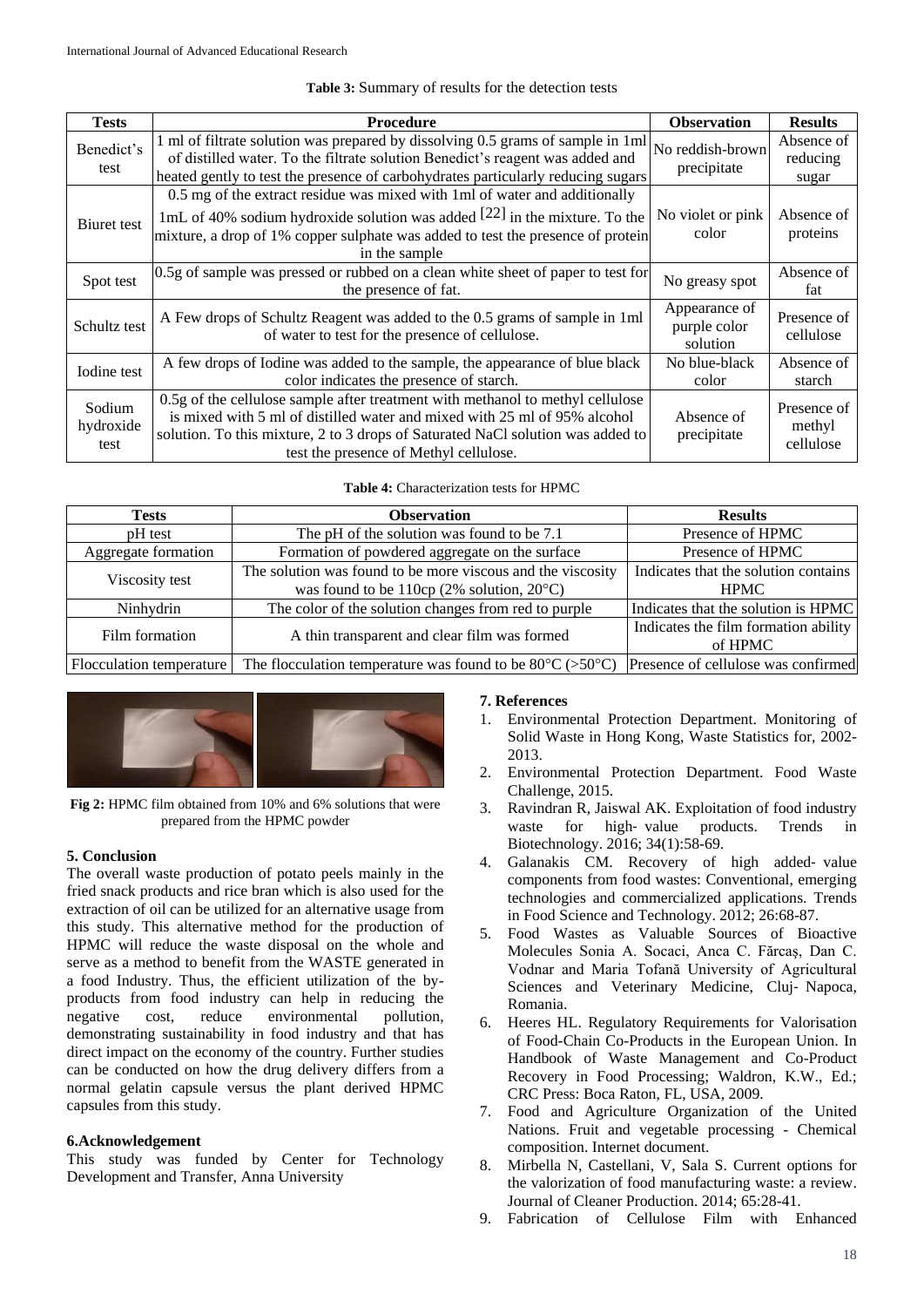### **Table 3:** Summary of results for the detection tests

| <b>Tests</b>                | <b>Procedure</b>                                                                                                                                                                                                                                                                         | <b>Observation</b>                        | <b>Results</b>                     |
|-----------------------------|------------------------------------------------------------------------------------------------------------------------------------------------------------------------------------------------------------------------------------------------------------------------------------------|-------------------------------------------|------------------------------------|
| Benedict's<br>test          | 1 ml of filtrate solution was prepared by dissolving 0.5 grams of sample in 1 ml<br>of distilled water. To the filtrate solution Benedict's reagent was added and<br>heated gently to test the presence of carbohydrates particularly reducing sugars                                    | No reddish-brown<br>precipitate           | Absence of<br>reducing<br>sugar    |
| Biuret test                 | 0.5 mg of the extract residue was mixed with 1ml of water and additionally<br>1mL of 40% sodium hydroxide solution was added $[22]$ in the mixture. To the<br>mixture, a drop of 1% copper sulphate was added to test the presence of protein<br>in the sample                           | No violet or pink<br>color                | Absence of<br>proteins             |
| Spot test                   | 0.5g of sample was pressed or rubbed on a clean white sheet of paper to test for<br>the presence of fat.                                                                                                                                                                                 | No greasy spot                            | Absence of<br>fat                  |
| Schultz test                | A Few drops of Schultz Reagent was added to the 0.5 grams of sample in 1ml<br>of water to test for the presence of cellulose.                                                                                                                                                            | Appearance of<br>purple color<br>solution | Presence of<br>cellulose           |
| Iodine test                 | A few drops of Iodine was added to the sample, the appearance of blue black<br>color indicates the presence of starch.                                                                                                                                                                   | No blue-black<br>color                    | Absence of<br>starch               |
| Sodium<br>hydroxide<br>test | 0.5g of the cellulose sample after treatment with methanol to methyl cellulose<br>is mixed with 5 ml of distilled water and mixed with 25 ml of 95% alcohol<br>solution. To this mixture, 2 to 3 drops of Saturated NaCl solution was added to<br>test the presence of Methyl cellulose. | Absence of<br>precipitate                 | Presence of<br>methyl<br>cellulose |

#### **Table 4:** Characterization tests for HPMC

| <b>Tests</b>             | <b>Observation</b>                                                  | <b>Results</b>                       |
|--------------------------|---------------------------------------------------------------------|--------------------------------------|
| pH test                  | The pH of the solution was found to be 7.1                          | Presence of HPMC                     |
| Aggregate formation      | Formation of powdered aggregate on the surface                      | Presence of HPMC                     |
|                          | The solution was found to be more viscous and the viscosity         | Indicates that the solution contains |
| Viscosity test           | was found to be 110cp (2% solution, $20^{\circ}$ C)                 | <b>HPMC</b>                          |
| Ninhydrin                | The color of the solution changes from red to purple                | Indicates that the solution is HPMC  |
| Film formation           | A thin transparent and clear film was formed                        | Indicates the film formation ability |
|                          |                                                                     | of HPMC                              |
| Flocculation temperature | The flocculation temperature was found to be $80^{\circ}$ C (>50°C) | Presence of cellulose was confirmed  |



**Fig 2:** HPMC film obtained from 10% and 6% solutions that were prepared from the HPMC powder

## **5. Conclusion**

The overall waste production of potato peels mainly in the fried snack products and rice bran which is also used for the extraction of oil can be utilized for an alternative usage from this study. This alternative method for the production of HPMC will reduce the waste disposal on the whole and serve as a method to benefit from the WASTE generated in a food Industry. Thus, the efficient utilization of the byproducts from food industry can help in reducing the negative cost, reduce environmental pollution, demonstrating sustainability in food industry and that has direct impact on the economy of the country. Further studies can be conducted on how the drug delivery differs from a normal gelatin capsule versus the plant derived HPMC capsules from this study.

### **6.Acknowledgement**

This study was funded by Center for Technology Development and Transfer, Anna University

#### **7. References**

- 1. Environmental Protection Department. Monitoring of Solid Waste in Hong Kong, Waste Statistics for, 2002- 2013.
- 2. Environmental Protection Department. Food Waste Challenge, 2015.
- 3. Ravindran R, Jaiswal AK. Exploitation of food industry waste for high-value products. Trends in Biotechnology. 2016; 34(1):58-69.
- 4. Galanakis CM. Recovery of high added‐ value components from food wastes: Conventional, emerging technologies and commercialized applications. Trends in Food Science and Technology. 2012; 26:68-87.
- 5. Food Wastes as Valuable Sources of Bioactive Molecules Sonia A. Socaci, Anca C. Fărcaş, Dan C. Vodnar and Maria Tofană University of Agricultural Sciences and Veterinary Medicine, Cluj‐ Napoca, Romania.
- 6. Heeres HL. Regulatory Requirements for Valorisation of Food-Chain Co-Products in the European Union. In Handbook of Waste Management and Co-Product Recovery in Food Processing; Waldron, K.W., Ed.; CRC Press: Boca Raton, FL, USA, 2009.
- 7. Food and Agriculture Organization of the United Nations. Fruit and vegetable processing - Chemical composition. Internet document.
- 8. Mirbella N, Castellani, V, Sala S. Current options for the valorization of food manufacturing waste: a review. Journal of Cleaner Production. 2014; 65:28-41.
- 9. Fabrication of Cellulose Film with Enhanced